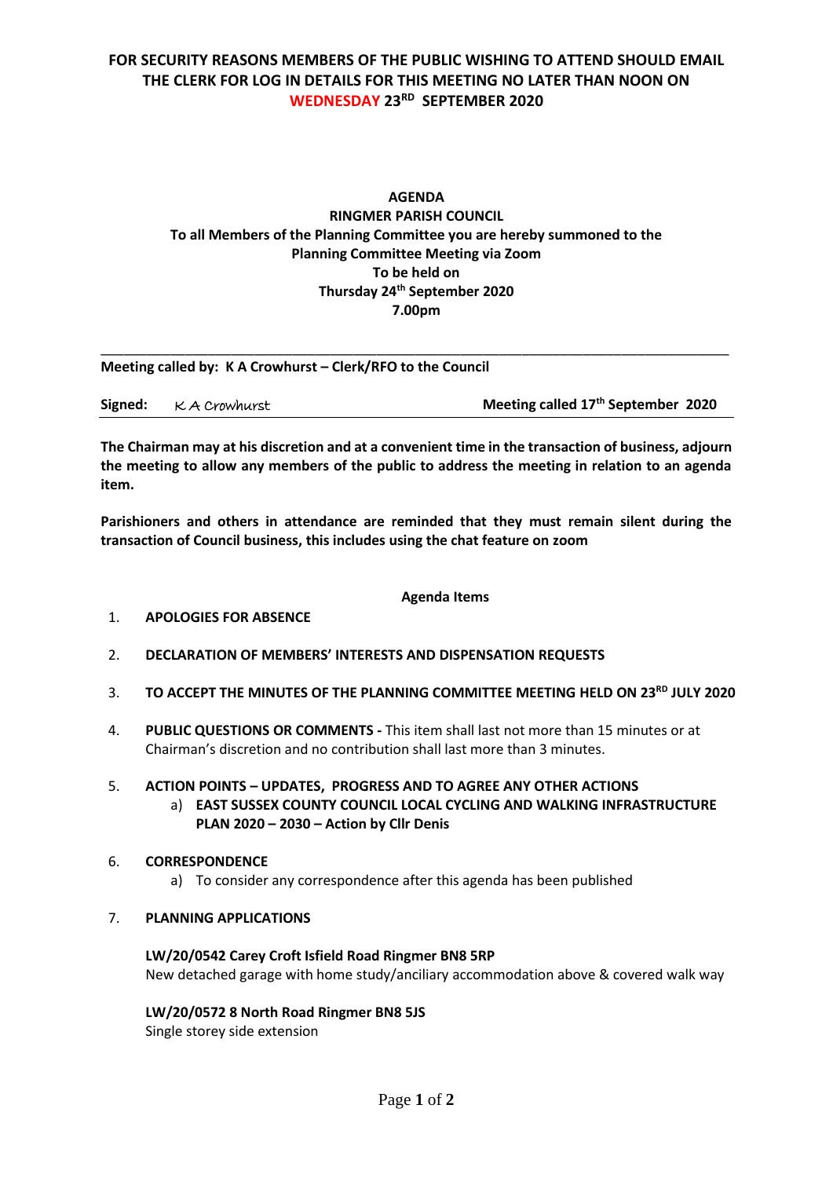# **FOR SECURITY REASONS MEMBERS OF THE PUBLIC WISHING TO ATTEND SHOULD EMAIL THE CLERK FOR LOG IN DETAILS FOR THIS MEETING NO LATER THAN NOON ON WEDNESDAY 23RD SEPTEMBER 2020**

## **AGENDA RINGMER PARISH COUNCIL To all Members of the Planning Committee you are hereby summoned to the Planning Committee Meeting via Zoom To be held on Thursday 24 th September 2020 7.00pm**

**Meeting called by: K A Crowhurst – Clerk/RFO to the Council** 

|  | Signed: K A Crowhurst | Meeting called 17 <sup>th</sup> September 2020 |
|--|-----------------------|------------------------------------------------|
|--|-----------------------|------------------------------------------------|

\_\_\_\_\_\_\_\_\_\_\_\_\_\_\_\_\_\_\_\_\_\_\_\_\_\_\_\_\_\_\_\_\_\_\_\_\_\_\_\_\_\_\_\_\_\_\_\_\_\_\_\_\_\_\_\_\_\_\_\_\_\_\_\_\_\_\_\_\_\_\_\_\_\_\_\_\_\_\_\_\_\_

**The Chairman may at his discretion and at a convenient time in the transaction of business, adjourn the meeting to allow any members of the public to address the meeting in relation to an agenda item.**

**Parishioners and others in attendance are reminded that they must remain silent during the transaction of Council business, this includes using the chat feature on zoom**

#### **Agenda Items**

- 1. **APOLOGIES FOR ABSENCE**
- 2. **DECLARATION OF MEMBERS' INTERESTS AND DISPENSATION REQUESTS**
- 3. **TO ACCEPT THE MINUTES OF THE PLANNING COMMITTEE MEETING HELD ON 23RD JULY 2020**
- 4. **PUBLIC QUESTIONS OR COMMENTS -** This item shall last not more than 15 minutes or at Chairman's discretion and no contribution shall last more than 3 minutes.

## 5. **ACTION POINTS – UPDATES, PROGRESS AND TO AGREE ANY OTHER ACTIONS**

a) **EAST SUSSEX COUNTY COUNCIL LOCAL CYCLING AND WALKING INFRASTRUCTURE PLAN 2020 – 2030 – Action by Cllr Denis**

#### 6. **CORRESPONDENCE**

a) To consider any correspondence after this agenda has been published

### 7. **PLANNING APPLICATIONS**

**LW/20/0542 Carey Croft Isfield Road Ringmer BN8 5RP** New detached garage with home study/anciliary accommodation above & covered walk way

### **LW/20/0572 8 North Road Ringmer BN8 5JS**

Single storey side extension